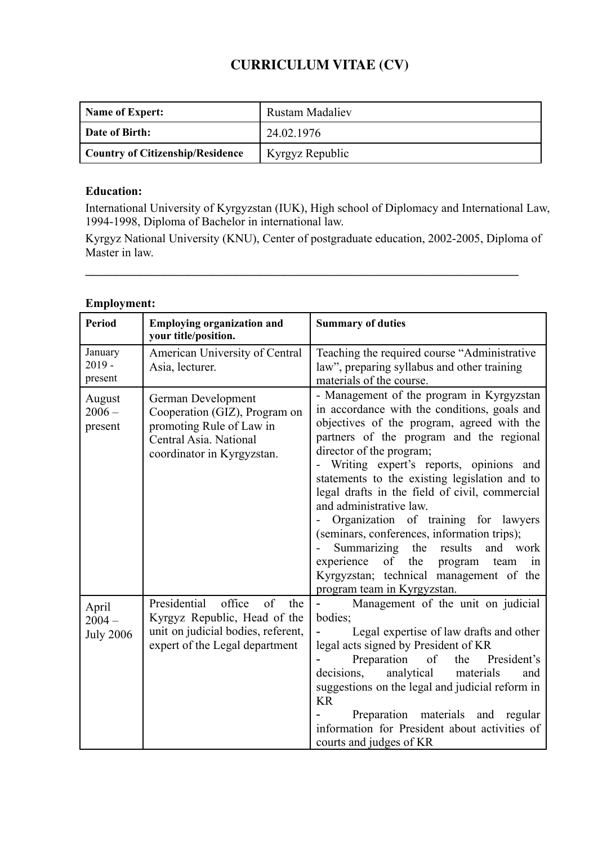# **CURRICULUM VITAE (CV)**

| Name of Expert:                         | <b>Rustam Madaliev</b> |
|-----------------------------------------|------------------------|
| Date of Birth:                          | 24.02.1976             |
| <b>Country of Citizenship/Residence</b> | Kyrgyz Republic        |

## **Education:**

International University of Kyrgyzstan (IUK), High school of Diplomacy and International Law, 1994-1998, Diploma of Bachelor in international law.

Kyrgyz National University (KNU), Center of postgraduate education, 2002-2005, Diploma of Master in law.

**\_\_\_\_\_\_\_\_\_\_\_\_\_\_\_\_\_\_\_\_\_\_\_\_\_\_\_\_\_\_\_\_\_\_\_\_\_\_\_\_\_\_\_\_\_\_\_\_\_\_\_\_\_\_\_\_\_\_\_\_\_\_\_\_\_\_\_\_\_\_\_\_**

# **Employment:**

| <b>Period</b>                         | <b>Employing organization and</b><br>your title/position.                                                                                   | <b>Summary of duties</b>                                                                                                                                                                                                                                                                                                                                                                                                                                                                                                                                                                                                                      |
|---------------------------------------|---------------------------------------------------------------------------------------------------------------------------------------------|-----------------------------------------------------------------------------------------------------------------------------------------------------------------------------------------------------------------------------------------------------------------------------------------------------------------------------------------------------------------------------------------------------------------------------------------------------------------------------------------------------------------------------------------------------------------------------------------------------------------------------------------------|
| January<br>$2019 -$<br>present        | American University of Central<br>Asia, lecturer.                                                                                           | Teaching the required course "Administrative<br>law", preparing syllabus and other training<br>materials of the course.                                                                                                                                                                                                                                                                                                                                                                                                                                                                                                                       |
| August<br>$2006 -$<br>present         | German Development<br>Cooperation (GIZ), Program on<br>promoting Rule of Law in<br>Central Asia. National<br>coordinator in Kyrgyzstan.     | - Management of the program in Kyrgyzstan<br>in accordance with the conditions, goals and<br>objectives of the program, agreed with the<br>partners of the program and the regional<br>director of the program;<br>Writing expert's reports, opinions and<br>statements to the existing legislation and to<br>legal drafts in the field of civil, commercial<br>and administrative law.<br>Organization of training for lawyers<br>(seminars, conferences, information trips);<br>Summarizing the results<br>and work<br>of<br>experience<br>the program team<br>1n<br>Kyrgyzstan; technical management of the<br>program team in Kyrgyzstan. |
| April<br>$2004 -$<br><b>July 2006</b> | office<br>of<br>Presidential<br>the<br>Kyrgyz Republic, Head of the<br>unit on judicial bodies, referent,<br>expert of the Legal department | Management of the unit on judicial<br>bodies;<br>Legal expertise of law drafts and other<br>legal acts signed by President of KR<br>Preparation<br>of<br>the<br>President's<br>decisions,<br>materials<br>analytical<br>and<br>suggestions on the legal and judicial reform in<br><b>KR</b><br>Preparation materials and regular<br>information for President about activities of<br>courts and judges of KR                                                                                                                                                                                                                                  |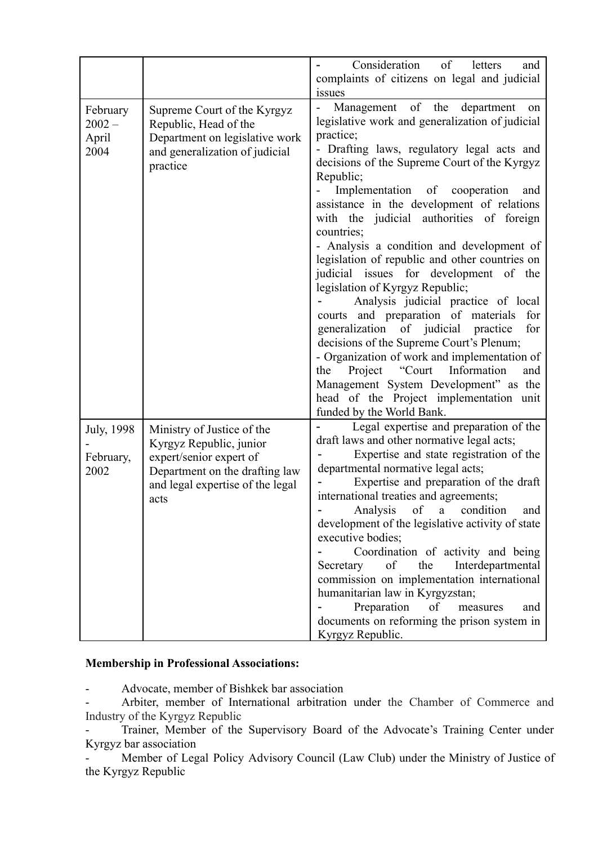|                                       |                                                                                                                                                                | Consideration<br>of<br>letters<br>and<br>complaints of citizens on legal and judicial                                                                                                                                                                                                                                                                                                                                                                                                                                                                                                                                                                                                                                                                                                                                                                                                                                                              |
|---------------------------------------|----------------------------------------------------------------------------------------------------------------------------------------------------------------|----------------------------------------------------------------------------------------------------------------------------------------------------------------------------------------------------------------------------------------------------------------------------------------------------------------------------------------------------------------------------------------------------------------------------------------------------------------------------------------------------------------------------------------------------------------------------------------------------------------------------------------------------------------------------------------------------------------------------------------------------------------------------------------------------------------------------------------------------------------------------------------------------------------------------------------------------|
| February<br>$2002 -$<br>April<br>2004 | Supreme Court of the Kyrgyz<br>Republic, Head of the<br>Department on legislative work<br>and generalization of judicial<br>practice                           | issues<br>Management of the department<br>on<br>legislative work and generalization of judicial<br>practice;<br>- Drafting laws, regulatory legal acts and<br>decisions of the Supreme Court of the Kyrgyz<br>Republic;<br>Implementation of cooperation<br>and<br>assistance in the development of relations<br>with the judicial authorities of foreign<br>countries;<br>- Analysis a condition and development of<br>legislation of republic and other countries on<br>judicial issues for development of the<br>legislation of Kyrgyz Republic;<br>Analysis judicial practice of local<br>courts and preparation of materials<br>for<br>generalization of judicial<br>practice<br>for<br>decisions of the Supreme Court's Plenum;<br>- Organization of work and implementation of<br>Project "Court Information<br>the<br>and<br>Management System Development" as the<br>head of the Project implementation unit<br>funded by the World Bank. |
| July, 1998<br>February,<br>2002       | Ministry of Justice of the<br>Kyrgyz Republic, junior<br>expert/senior expert of<br>Department on the drafting law<br>and legal expertise of the legal<br>acts | Legal expertise and preparation of the<br>draft laws and other normative legal acts;<br>Expertise and state registration of the<br>departmental normative legal acts;<br>Expertise and preparation of the draft<br>international treaties and agreements;<br>Analysis<br>of<br>condition<br>$\mathbf{a}$<br>and<br>development of the legislative activity of state<br>executive bodies;<br>Coordination of activity and being<br>Secretary<br>of<br>the<br>Interdepartmental<br>commission on implementation international<br>humanitarian law in Kyrgyzstan;<br>Preparation<br>of<br>measures<br>and<br>documents on reforming the prison system in<br>Kyrgyz Republic.                                                                                                                                                                                                                                                                          |

## **Membership in Professional Associations:**

- Advocate, member of Bishkek bar association

Arbiter, member of International arbitration under the Chamber of Commerce and Industry of the Kyrgyz Republic

- Trainer, Member of the Supervisory Board of the Advocate's Training Center under Kyrgyz bar association

Member of Legal Policy Advisory Council (Law Club) under the Ministry of Justice of the Kyrgyz Republic